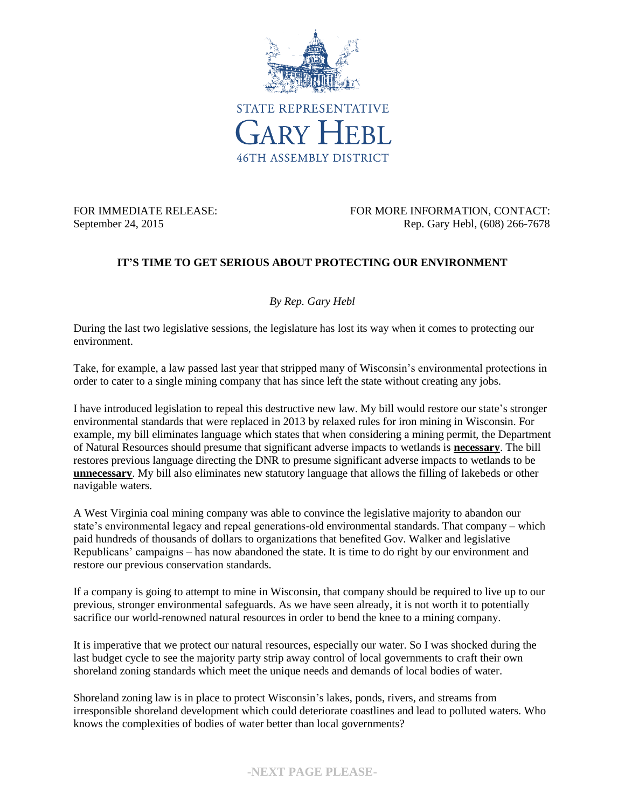

FOR IMMEDIATE RELEASE: FOR MORE INFORMATION, CONTACT: September 24, 2015 Rep. Gary Hebl, (608) 266-7678

## **IT'S TIME TO GET SERIOUS ABOUT PROTECTING OUR ENVIRONMENT**

*By Rep. Gary Hebl*

During the last two legislative sessions, the legislature has lost its way when it comes to protecting our environment.

Take, for example, a law passed last year that stripped many of Wisconsin's environmental protections in order to cater to a single mining company that has since left the state without creating any jobs.

I have introduced legislation to repeal this destructive new law. My bill would restore our state's stronger environmental standards that were replaced in 2013 by relaxed rules for iron mining in Wisconsin. For example, my bill eliminates language which states that when considering a mining permit, the Department of Natural Resources should presume that significant adverse impacts to wetlands is **necessary**. The bill restores previous language directing the DNR to presume significant adverse impacts to wetlands to be **unnecessary**. My bill also eliminates new statutory language that allows the filling of lakebeds or other navigable waters.

A West Virginia coal mining company was able to convince the legislative majority to abandon our state's environmental legacy and repeal generations-old environmental standards. That company – which paid hundreds of thousands of dollars to organizations that benefited Gov. Walker and legislative Republicans' campaigns – has now abandoned the state. It is time to do right by our environment and restore our previous conservation standards.

If a company is going to attempt to mine in Wisconsin, that company should be required to live up to our previous, stronger environmental safeguards. As we have seen already, it is not worth it to potentially sacrifice our world-renowned natural resources in order to bend the knee to a mining company.

It is imperative that we protect our natural resources, especially our water. So I was shocked during the last budget cycle to see the majority party strip away control of local governments to craft their own shoreland zoning standards which meet the unique needs and demands of local bodies of water.

Shoreland zoning law is in place to protect Wisconsin's lakes, ponds, rivers, and streams from irresponsible shoreland development which could deteriorate coastlines and lead to polluted waters. Who knows the complexities of bodies of water better than local governments?